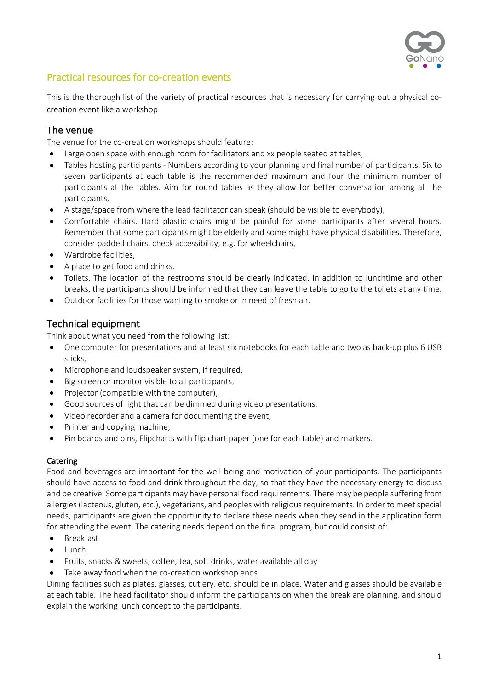

# Practical resources for co-creation events

This is the thorough list of the variety of practical resources that is necessary for carrying out a physical cocreation event like a workshop

### The venue

The venue for the co-creation workshops should feature:

- Large open space with enough room for facilitators and xx people seated at tables,
- Tables hosting participants Numbers according to your planning and final number of participants. Six to seven participants at each table is the recommended maximum and four the minimum number of participants at the tables. Aim for round tables as they allow for better conversation among all the participants,
- A stage/space from where the lead facilitator can speak (should be visible to everybody),
- Comfortable chairs. Hard plastic chairs might be painful for some participants after several hours. Remember that some participants might be elderly and some might have physical disabilities. Therefore, consider padded chairs, check accessibility, e.g. for wheelchairs,
- Wardrobe facilities,
- A place to get food and drinks.
- Toilets. The location of the restrooms should be clearly indicated. In addition to lunchtime and other breaks, the participants should be informed that they can leave the table to go to the toilets at any time.
- Outdoor facilities for those wanting to smoke or in need of fresh air.

### Technical equipment

Think about what you need from the following list:

- One computer for presentations and at least six notebooks for each table and two as back-up plus 6 USB sticks,
- Microphone and loudspeaker system, if required,
- Big screen or monitor visible to all participants,
- Projector (compatible with the computer),
- Good sources of light that can be dimmed during video presentations,
- Video recorder and a camera for documenting the event,
- Printer and copying machine,
- Pin boards and pins, Flipcharts with flip chart paper (one for each table) and markers.

#### Catering

Food and beverages are important for the well-being and motivation of your participants. The participants should have access to food and drink throughout the day, so that they have the necessary energy to discuss and be creative. Some participants may have personal food requirements. There may be people suffering from allergies (lacteous, gluten, etc.), vegetarians, and peoples with religious requirements. In order to meet special needs, participants are given the opportunity to declare these needs when they send in the application form for attending the event. The catering needs depend on the final program, but could consist of:

- Breakfast
- Lunch
- Fruits, snacks & sweets, coffee, tea, soft drinks, water available all day
- Take away food when the co-creation workshop ends

Dining facilities such as plates, glasses, cutlery, etc. should be in place. Water and glasses should be available at each table. The head facilitator should inform the participants on when the break are planning, and should explain the working lunch concept to the participants.